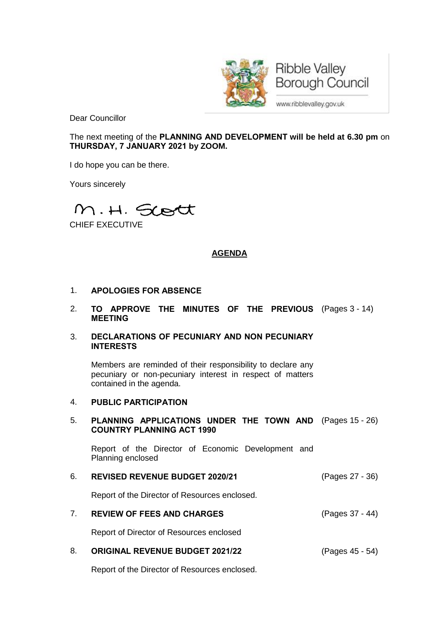

Dear Councillor

The next meeting of the **PLANNING AND DEVELOPMENT will be held at 6.30 pm** on **THURSDAY, 7 JANUARY 2021 by ZOOM.**

I do hope you can be there.

Yours sincerely

M.H. Scott

CHIEF EXECUTIVE

## **AGENDA**

#### 1. **APOLOGIES FOR ABSENCE**

2. **TO APPROVE THE MINUTES OF THE PREVIOUS** (Pages 3 - 14) **MEETING**

#### 3. **DECLARATIONS OF PECUNIARY AND NON PECUNIARY INTERESTS**

Members are reminded of their responsibility to declare any pecuniary or non-pecuniary interest in respect of matters contained in the agenda.

#### 4. **PUBLIC PARTICIPATION**

#### 5. **PLANNING APPLICATIONS UNDER THE TOWN AND** (Pages 15 - 26) **COUNTRY PLANNING ACT 1990**

Report of the Director of Economic Development and Planning enclosed

#### 6. **REVISED REVENUE BUDGET 2020/21** (Pages 27 - 36)

Report of the Director of Resources enclosed.

# 7. **REVIEW OF FEES AND CHARGES** (Pages 37 - 44)

Report of Director of Resources enclosed

# 8. **ORIGINAL REVENUE BUDGET 2021/22** (Pages 45 - 54)

Report of the Director of Resources enclosed.